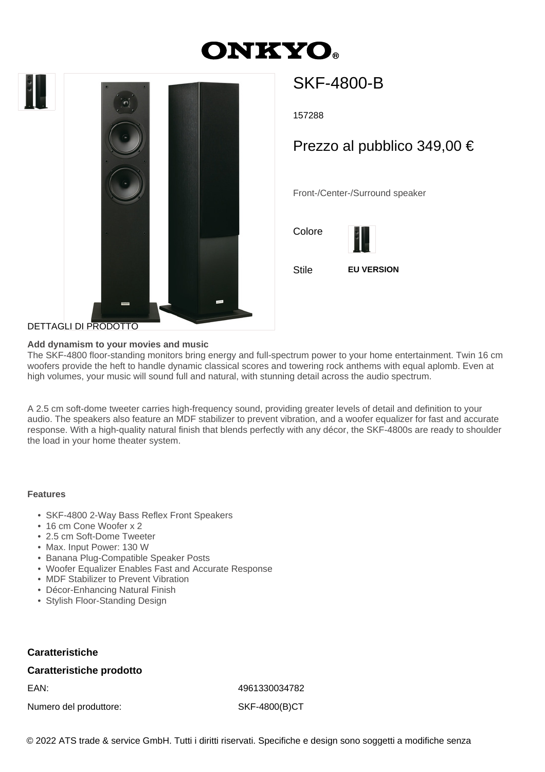





# SKF-4800-B

157288

# Prezzo al pubblico 349,00 €

Front-/Center-/Surround speaker

Colore



Stile **EU VERSION**

## DETTAGLI DI PRODOTTO

#### **Add dynamism to your movies and music**

The SKF-4800 floor-standing monitors bring energy and full-spectrum power to your home entertainment. Twin 16 cm woofers provide the heft to handle dynamic classical scores and towering rock anthems with equal aplomb. Even at high volumes, your music will sound full and natural, with stunning detail across the audio spectrum.

A 2.5 cm soft-dome tweeter carries high-frequency sound, providing greater levels of detail and definition to your audio. The speakers also feature an MDF stabilizer to prevent vibration, and a woofer equalizer for fast and accurate response. With a high-quality natural finish that blends perfectly with any décor, the SKF-4800s are ready to shoulder the load in your home theater system.

#### **Features**

- SKF-4800 2-Way Bass Reflex Front Speakers
- 16 cm Cone Woofer x 2
- 2.5 cm Soft-Dome Tweeter
- Max. Input Power: 130 W
- Banana Plug-Compatible Speaker Posts
- Woofer Equalizer Enables Fast and Accurate Response
- MDF Stabilizer to Prevent Vibration
- Décor-Enhancing Natural Finish
- Stylish Floor-Standing Design

### **Caratteristiche**

#### **Caratteristiche prodotto**

Numero del produttore: SKF-4800(B)CT

EAN: 4961330034782